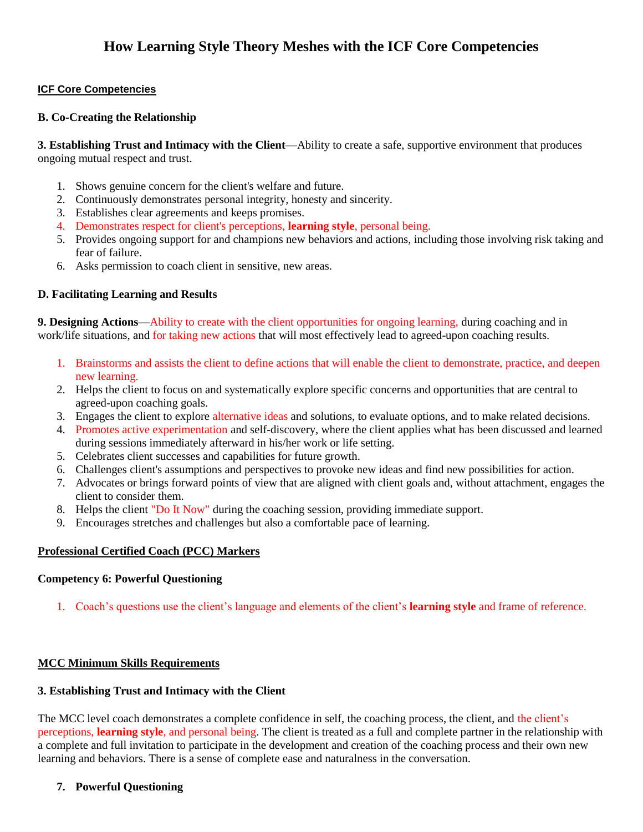## **ICF Core Competencies**

### **B. Co-Creating the Relationship**

**3. Establishing Trust and Intimacy with the Client**—Ability to create a safe, supportive environment that produces ongoing mutual respect and trust.

- 1. Shows genuine concern for the client's welfare and future.
- 2. Continuously demonstrates personal integrity, honesty and sincerity.
- 3. Establishes clear agreements and keeps promises.
- 4. Demonstrates respect for client's perceptions, **learning style**, personal being.
- 5. Provides ongoing support for and champions new behaviors and actions, including those involving risk taking and fear of failure.
- 6. Asks permission to coach client in sensitive, new areas.

# **D. Facilitating Learning and Results**

**9. Designing Actions**—Ability to create with the client opportunities for ongoing learning, during coaching and in work/life situations, and for taking new actions that will most effectively lead to agreed-upon coaching results.

- 1. Brainstorms and assists the client to define actions that will enable the client to demonstrate, practice, and deepen new learning.
- 2. Helps the client to focus on and systematically explore specific concerns and opportunities that are central to agreed-upon coaching goals.
- 3. Engages the client to explore alternative ideas and solutions, to evaluate options, and to make related decisions.
- 4. Promotes active experimentation and self-discovery, where the client applies what has been discussed and learned during sessions immediately afterward in his/her work or life setting.
- 5. Celebrates client successes and capabilities for future growth.
- 6. Challenges client's assumptions and perspectives to provoke new ideas and find new possibilities for action.
- 7. Advocates or brings forward points of view that are aligned with client goals and, without attachment, engages the client to consider them.
- 8. Helps the client "Do It Now" during the coaching session, providing immediate support.
- 9. Encourages stretches and challenges but also a comfortable pace of learning.

# **Professional Certified Coach (PCC) Markers**

#### **Competency 6: Powerful Questioning**

1. Coach's questions use the client's language and elements of the client's **learning style** and frame of reference.

#### **MCC Minimum Skills Requirements**

#### **3. Establishing Trust and Intimacy with the Client**

The MCC level coach demonstrates a complete confidence in self, the coaching process, the client, and the client's perceptions, **learning style**, and personal being. The client is treated as a full and complete partner in the relationship with a complete and full invitation to participate in the development and creation of the coaching process and their own new learning and behaviors. There is a sense of complete ease and naturalness in the conversation.

#### **7. Powerful Questioning**